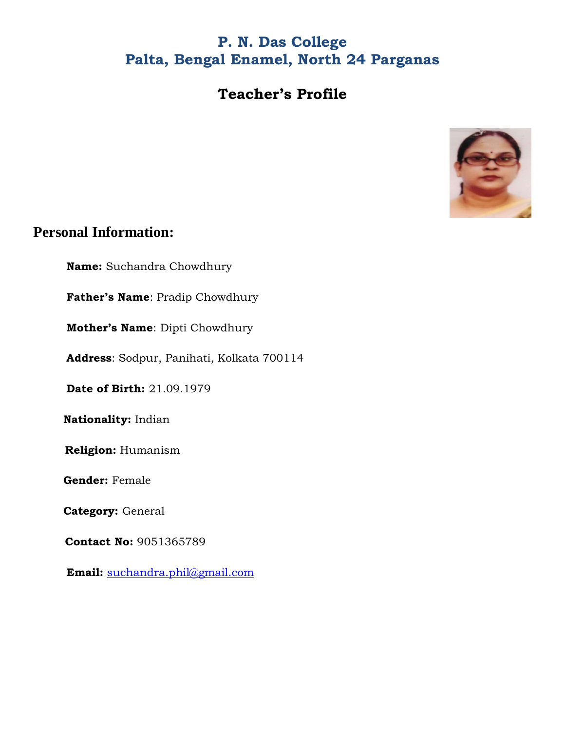### **P. N. Das College Palta, Bengal Enamel, North 24 Parganas**

#### **Teacher's Profile**



#### **Personal Information:**

**Name:** Suchandra Chowdhury

**Father's Name**: Pradip Chowdhury

**Mother's Name**: Dipti Chowdhury

**Address**: Sodpur, Panihati, Kolkata 700114

**Date of Birth:** 21.09.1979

 **Nationality:** Indian

**Religion:** Humanism

 **Gender:** Female

 **Category:** General

**Contact No:** 9051365789

**Email:** [suchandra.phil@gmail.com](mailto:suchandra.phil@gmail.com)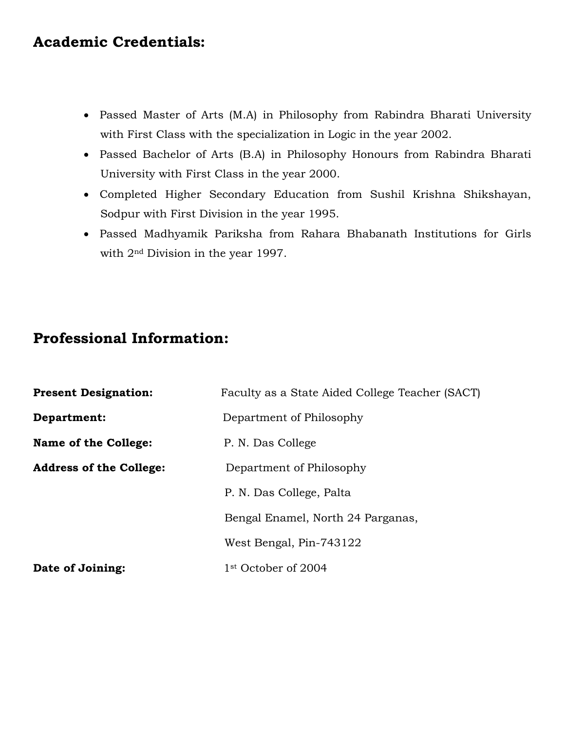#### **Academic Credentials:**

- Passed Master of Arts (M.A) in Philosophy from Rabindra Bharati University with First Class with the specialization in Logic in the year 2002.
- Passed Bachelor of Arts (B.A) in Philosophy Honours from Rabindra Bharati University with First Class in the year 2000.
- Completed Higher Secondary Education from Sushil Krishna Shikshayan, Sodpur with First Division in the year 1995.
- Passed Madhyamik Pariksha from Rahara Bhabanath Institutions for Girls with 2nd Division in the year 1997.

#### **Professional Information:**

| <b>Present Designation:</b>    | Faculty as a State Aided College Teacher (SACT) |  |
|--------------------------------|-------------------------------------------------|--|
| Department:                    | Department of Philosophy                        |  |
| Name of the College:           | P. N. Das College                               |  |
| <b>Address of the College:</b> | Department of Philosophy                        |  |
|                                | P. N. Das College, Palta                        |  |
|                                | Bengal Enamel, North 24 Parganas,               |  |
|                                | West Bengal, Pin-743122                         |  |
| Date of Joining:               | 1 <sup>st</sup> October of 2004                 |  |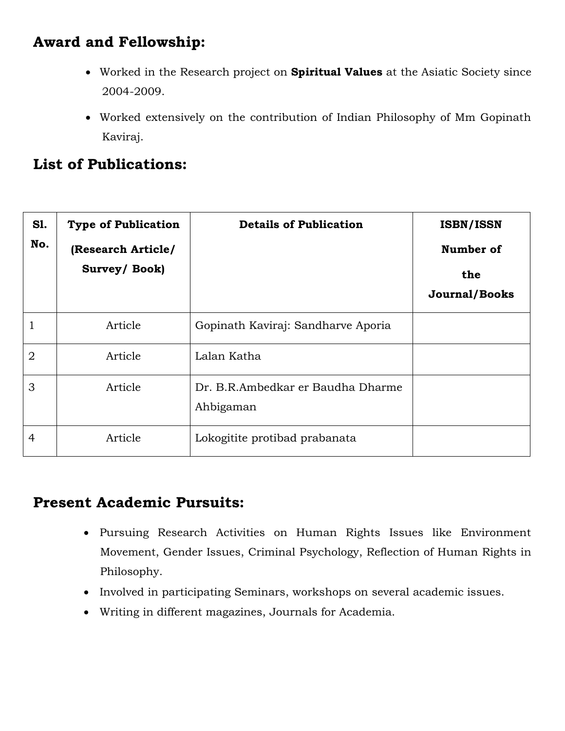# **Award and Fellowship:**

- Worked in the Research project on **Spiritual Values** at the Asiatic Society since 2004-2009.
- Worked extensively on the contribution of Indian Philosophy of Mm Gopinath Kaviraj.

# **List of Publications:**

| <b>S1.</b><br>No. | <b>Type of Publication</b><br>(Research Article/<br>Survey/Book) | <b>Details of Publication</b>                  | <b>ISBN/ISSN</b><br>Number of<br>the<br><b>Journal/Books</b> |
|-------------------|------------------------------------------------------------------|------------------------------------------------|--------------------------------------------------------------|
| $\mathbf 1$       | Article                                                          | Gopinath Kaviraj: Sandharve Aporia             |                                                              |
| $\overline{2}$    | Article                                                          | Lalan Katha                                    |                                                              |
| 3                 | Article                                                          | Dr. B.R.Ambedkar er Baudha Dharme<br>Ahbigaman |                                                              |
| $\overline{4}$    | Article                                                          | Lokogitite protibad prabanata                  |                                                              |

# **Present Academic Pursuits:**

- Pursuing Research Activities on Human Rights Issues like Environment Movement, Gender Issues, Criminal Psychology, Reflection of Human Rights in Philosophy.
- Involved in participating Seminars, workshops on several academic issues.
- Writing in different magazines, Journals for Academia.